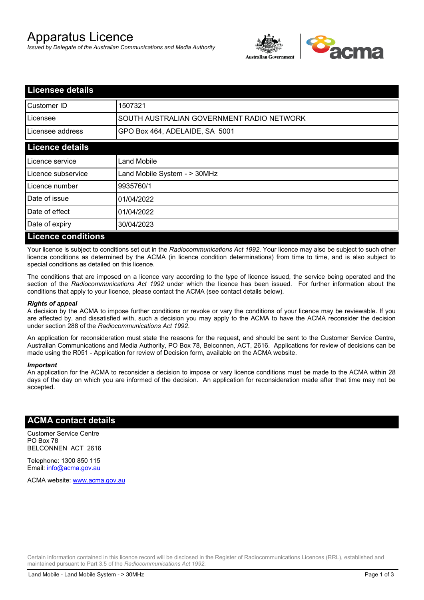# Apparatus Licence

*Issued by Delegate of the Australian Communications and Media Authority*



| <b>Licensee details</b>   |                                           |
|---------------------------|-------------------------------------------|
| <b>I</b> Customer ID      | 1507321                                   |
| Licensee                  | SOUTH AUSTRALIAN GOVERNMENT RADIO NETWORK |
| Licensee address          | GPO Box 464, ADELAIDE, SA 5001            |
| <b>Licence details</b>    |                                           |
| Licence service           | Land Mobile                               |
| Licence subservice        | Land Mobile System - > 30MHz              |
| Licence number            | 9935760/1                                 |
| Date of issue             | 01/04/2022                                |
| Date of effect            | 01/04/2022                                |
| Date of expiry            | 30/04/2023                                |
| <b>Licence conditions</b> |                                           |

Your licence is subject to conditions set out in the *Radiocommunications Act 1992*. Your licence may also be subject to such other licence conditions as determined by the ACMA (in licence condition determinations) from time to time, and is also subject to special conditions as detailed on this licence.

The conditions that are imposed on a licence vary according to the type of licence issued, the service being operated and the section of the *Radiocommunications Act 1992* under which the licence has been issued. For further information about the conditions that apply to your licence, please contact the ACMA (see contact details below).

#### *Rights of appeal*

A decision by the ACMA to impose further conditions or revoke or vary the conditions of your licence may be reviewable. If you are affected by, and dissatisfied with, such a decision you may apply to the ACMA to have the ACMA reconsider the decision under section 288 of the *Radiocommunications Act 1992*.

An application for reconsideration must state the reasons for the request, and should be sent to the Customer Service Centre, Australian Communications and Media Authority, PO Box 78, Belconnen, ACT, 2616. Applications for review of decisions can be made using the R051 - Application for review of Decision form, available on the ACMA website.

#### *Important*

An application for the ACMA to reconsider a decision to impose or vary licence conditions must be made to the ACMA within 28 days of the day on which you are informed of the decision. An application for reconsideration made after that time may not be accepted.

#### **ACMA contact details**

Customer Service Centre PO Box 78 BELCONNEN ACT 2616

Telephone: 1300 850 115 Email: info@acma.gov.au

ACMA website: www.acma.gov.au

Certain information contained in this licence record will be disclosed in the Register of Radiocommunications Licences (RRL), established and maintained pursuant to Part 3.5 of the *Radiocommunications Act 1992.*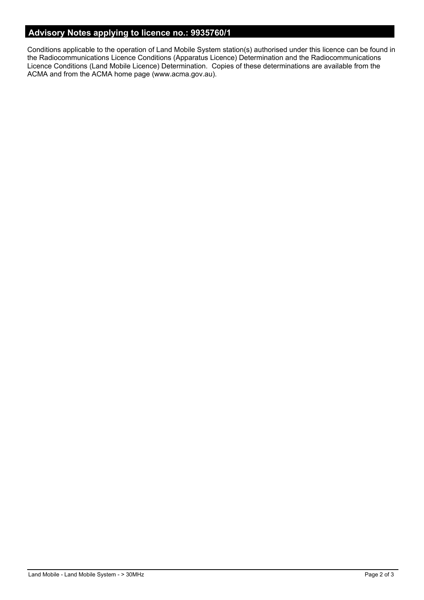### **Advisory Notes applying to licence no.: 9935760/1**

Conditions applicable to the operation of Land Mobile System station(s) authorised under this licence can be found in the Radiocommunications Licence Conditions (Apparatus Licence) Determination and the Radiocommunications Licence Conditions (Land Mobile Licence) Determination. Copies of these determinations are available from the ACMA and from the ACMA home page (www.acma.gov.au).